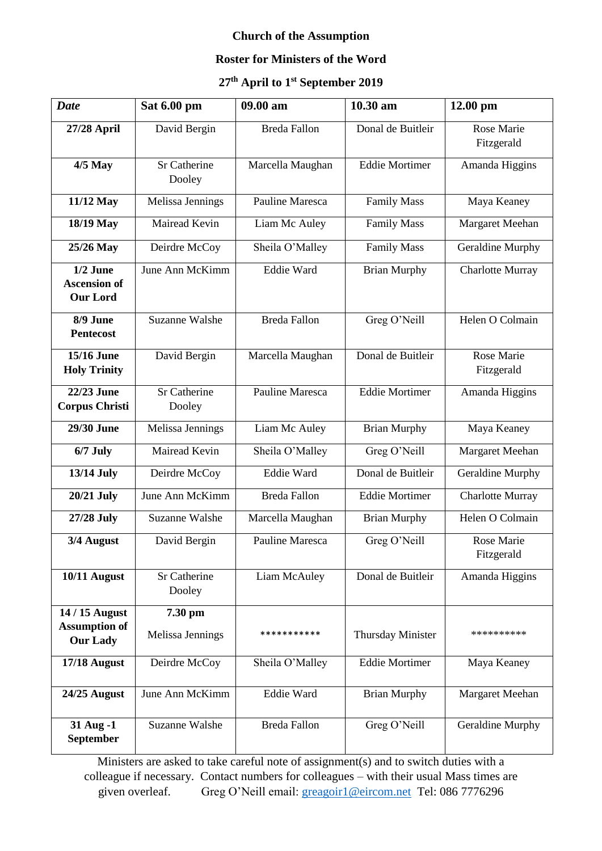## **Church of the Assumption**

## **Roster for Ministers of the Word**

## **27th April to 1st September 2019**

| <b>Date</b>                                          | Sat 6.00 pm                   | 09.00 am            | 10.30 am              | 12.00 pm                 |
|------------------------------------------------------|-------------------------------|---------------------|-----------------------|--------------------------|
| 27/28 April                                          | David Bergin                  | <b>Breda Fallon</b> | Donal de Buitleir     | Rose Marie<br>Fitzgerald |
| <b>4/5 May</b>                                       | <b>Sr Catherine</b><br>Dooley | Marcella Maughan    | <b>Eddie Mortimer</b> | Amanda Higgins           |
| 11/12 May                                            | Melissa Jennings              | Pauline Maresca     | <b>Family Mass</b>    | Maya Keaney              |
| 18/19 May                                            | Mairead Kevin                 | Liam Mc Auley       | <b>Family Mass</b>    | <b>Margaret Meehan</b>   |
| 25/26 May                                            | Deirdre McCoy                 | Sheila O'Malley     | <b>Family Mass</b>    | <b>Geraldine Murphy</b>  |
| $1/2$ June<br><b>Ascension of</b><br><b>Our Lord</b> | June Ann McKimm               | Eddie Ward          | <b>Brian Murphy</b>   | <b>Charlotte Murray</b>  |
| 8/9 June<br><b>Pentecost</b>                         | <b>Suzanne Walshe</b>         | <b>Breda Fallon</b> | Greg O'Neill          | Helen O Colmain          |
| <b>15/16 June</b><br><b>Holy Trinity</b>             | David Bergin                  | Marcella Maughan    | Donal de Buitleir     | Rose Marie<br>Fitzgerald |
| 22/23 June<br><b>Corpus Christi</b>                  | Sr Catherine<br>Dooley        | Pauline Maresca     | <b>Eddie Mortimer</b> | Amanda Higgins           |
| 29/30 June                                           | Melissa Jennings              | Liam Mc Auley       | <b>Brian Murphy</b>   | Maya Keaney              |
| $6/7$ July                                           | Mairead Kevin                 | Sheila O'Malley     | Greg O'Neill          | Margaret Meehan          |
| 13/14 July                                           | Deirdre McCoy                 | Eddie Ward          | Donal de Buitleir     | Geraldine Murphy         |
| <b>20/21 July</b>                                    | June Ann McKimm               | <b>Breda Fallon</b> | <b>Eddie Mortimer</b> | <b>Charlotte Murray</b>  |
| 27/28 July                                           | <b>Suzanne Walshe</b>         | Marcella Maughan    | <b>Brian Murphy</b>   | Helen O Colmain          |
| 3/4 August                                           | David Bergin                  | Pauline Maresca     | Greg O'Neill          | Rose Marie<br>Fitzgerald |
| 10/11 August                                         | <b>Sr Catherine</b><br>Dooley | Liam McAuley        | Donal de Buitleir     | Amanda Higgins           |
| 14 / 15 August                                       | 7.30 pm                       |                     |                       |                          |
| <b>Assumption of</b><br><b>Our Lady</b>              | Melissa Jennings              | ***********         | Thursday Minister     | **********               |
| 17/18 August                                         | Deirdre McCoy                 | Sheila O'Malley     | <b>Eddie Mortimer</b> | Maya Keaney              |
| 24/25 August                                         | June Ann McKimm               | Eddie Ward          | <b>Brian Murphy</b>   | Margaret Meehan          |
| 31 Aug -1<br>September                               | <b>Suzanne Walshe</b>         | <b>Breda Fallon</b> | Greg O'Neill          | <b>Geraldine Murphy</b>  |

Ministers are asked to take careful note of assignment(s) and to switch duties with a colleague if necessary. Contact numbers for colleagues – with their usual Mass times are given overleaf. Greg O'Neill email: [greagoir1@eircom.net](mailto:greagoir1@eircom.net) Tel: 086 7776296